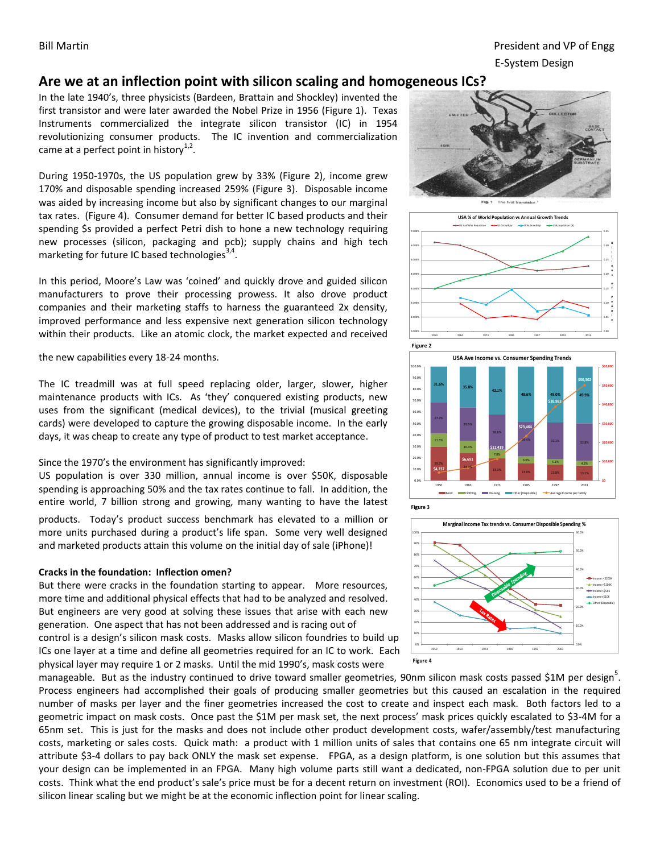Bill Martin President and VP of Engg E-System Design

# **Are we at an inflection point with silicon scaling and homogeneous ICs?**

In the late 1940's, three physicists (Bardeen, Brattain and Shockley) invented the first transistor and were later awarded the Nobel Prize in 1956 (Figure 1). Texas Instruments commercialized the integrate silicon transistor (IC) in 1954 revolutionizing consumer products. The IC invention and commercialization came at a perfect point in history<sup>1,2</sup>.

During 1950-1970s, the US population grew by 33% (Figure 2), income grew 170% and disposable spending increased 259% (Figure 3). Disposable income was aided by increasing income but also by significant changes to our marginal tax rates. (Figure 4). Consumer demand for better IC based products and their spending \$s provided a perfect Petri dish to hone a new technology requiring new processes (silicon, packaging and pcb); supply chains and high tech marketing for future IC based technologies<sup>3,4</sup>.

In this period, Moore's Law was 'coined' and quickly drove and guided silicon manufacturers to prove their processing prowess. It also drove product companies and their marketing staffs to harness the guaranteed 2x density, improved performance and less expensive next generation silicon technology within their products. Like an atomic clock, the market expected and received

the new capabilities every 18-24 months.

The IC treadmill was at full speed replacing older, larger, slower, higher maintenance products with ICs. As 'they' conquered existing products, new uses from the significant (medical devices), to the trivial (musical greeting cards) were developed to capture the growing disposable income. In the early days, it was cheap to create any type of product to test market acceptance.

Since the 1970's the environment has significantly improved:

US population is over 330 million, annual income is over \$50K, disposable spending is approaching 50% and the tax rates continue to fall. In addition, the entire world, 7 billion strong and growing, many wanting to have the latest

products. Today's product success benchmark has elevated to a million or more units purchased during a product's life span. Some very well designed and marketed products attain this volume on the initial day of sale (iPhone)!

#### **Cracks in the foundation: Inflection omen?**

But there were cracks in the foundation starting to appear. More resources, more time and additional physical effects that had to be analyzed and resolved. But engineers are very good at solving these issues that arise with each new generation. One aspect that has not been addressed and is racing out of control is a design's silicon mask costs. Masks allow silicon foundries to build up ICs one layer at a time and define all geometries required for an IC to work. Each physical layer may require 1 or 2 masks. Until the mid 1990's, mask costs were











manageable. But as the industry continued to drive toward smaller geometries, 90nm silicon mask costs passed \$1M per design<sup>5</sup>. Process engineers had accomplished their goals of producing smaller geometries but this caused an escalation in the required number of masks per layer and the finer geometries increased the cost to create and inspect each mask. Both factors led to a geometric impact on mask costs. Once past the \$1M per mask set, the next process' mask prices quickly escalated to \$3-4M for a 65nm set. This is just for the masks and does not include other product development costs, wafer/assembly/test manufacturing costs, marketing or sales costs. Quick math: a product with 1 million units of sales that contains one 65 nm integrate circuit will attribute \$3-4 dollars to pay back ONLY the mask set expense. FPGA, as a design platform, is one solution but this assumes that your design can be implemented in an FPGA. Many high volume parts still want a dedicated, non-FPGA solution due to per unit costs. Think what the end product's sale's price must be for a decent return on investment (ROI). Economics used to be a friend of silicon linear scaling but we might be at the economic inflection point for linear scaling.